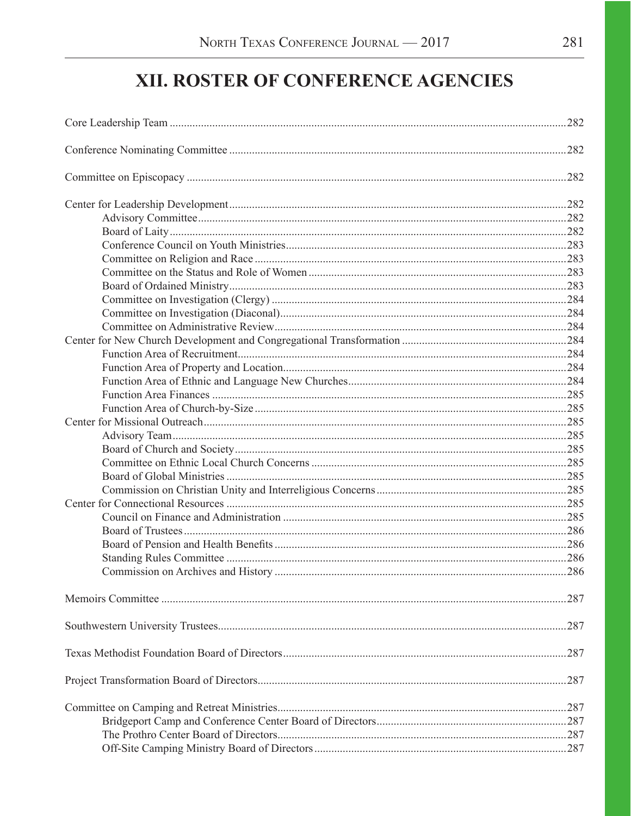# XII. ROSTER OF CONFERENCE AGENCIES

| .287<br>.287<br>.287<br>.287 |  |
|------------------------------|--|
|                              |  |
|                              |  |
|                              |  |
|                              |  |
|                              |  |
|                              |  |
|                              |  |
|                              |  |
|                              |  |
|                              |  |
|                              |  |
|                              |  |
|                              |  |
|                              |  |
|                              |  |
|                              |  |
|                              |  |
|                              |  |
|                              |  |
|                              |  |
|                              |  |
|                              |  |
|                              |  |
|                              |  |
|                              |  |
|                              |  |
|                              |  |
|                              |  |
|                              |  |
|                              |  |
|                              |  |
|                              |  |
|                              |  |
|                              |  |
|                              |  |
|                              |  |
|                              |  |
|                              |  |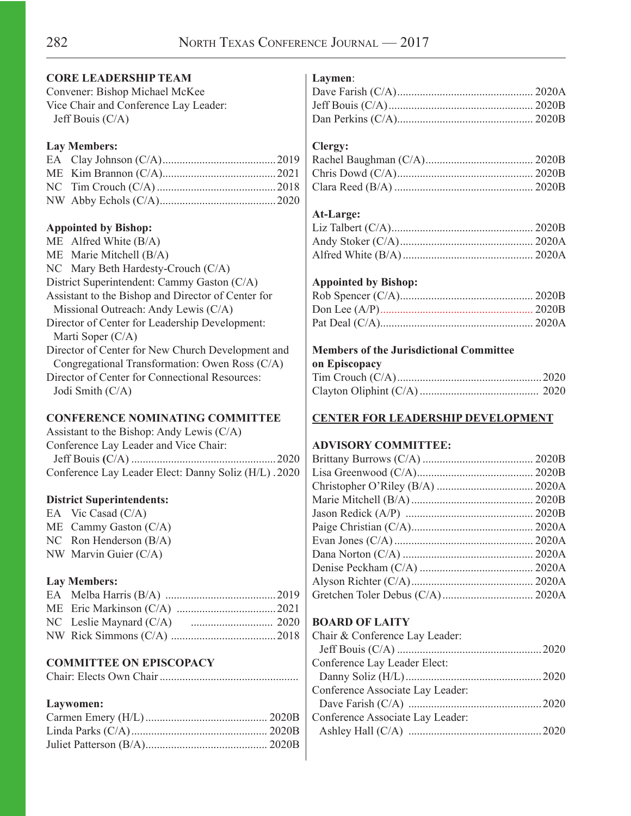#### **CORE LEADERSHIP TEAM**

Convener: Bishop Michael McKee Vice Chair and Conference Lay Leader: Jeff Bouis (C/A)

#### **Lay Members:**

## **Appointed by Bishop:**

ME Alfred White (B/A) ME Marie Mitchell (B/A) NC Mary Beth Hardesty-Crouch (C/A) District Superintendent: Cammy Gaston (C/A) Assistant to the Bishop and Director of Center for Missional Outreach: Andy Lewis (C/A) Director of Center for Leadership Development: Marti Soper (C/A) Director of Center for New Church Development and Congregational Transformation: Owen Ross (C/A) Director of Center for Connectional Resources: Jodi Smith (C/A)

#### **CONFERENCE NOMINATING COMMITTEE**

| Assistant to the Bishop: Andy Lewis $(C/A)$          |  |
|------------------------------------------------------|--|
| Conference Lay Leader and Vice Chair:                |  |
|                                                      |  |
| Conference Lay Leader Elect: Danny Soliz (H/L). 2020 |  |

### **District Superintendents:**

EA Vic Casad (C/A) ME Cammy Gaston (C/A) NC Ron Henderson (B/A) NW Marvin Guier (C/A)

## **Lay Members:**

## **COMMITTEE ON EPISCOPACY**

Chair: Elects Own Chair.................................................

#### **Laywomen:**

#### **Laymen**:

## **Clergy:**

## **At-Large:**

## **Appointed by Bishop:**

#### **Members of the Jurisdictional Committee**

| on Episcopacy |  |
|---------------|--|
|               |  |
|               |  |

## **CENTER FOR LEADERSHIP DEVELOPMENT**

## **ADVISORY COMMITTEE:**

## **BOARD OF LAITY**

| Chair & Conference Lay Leader:   |  |
|----------------------------------|--|
|                                  |  |
| Conference Lay Leader Elect:     |  |
|                                  |  |
| Conference Associate Lay Leader: |  |
|                                  |  |
| Conference Associate Lay Leader: |  |
|                                  |  |
|                                  |  |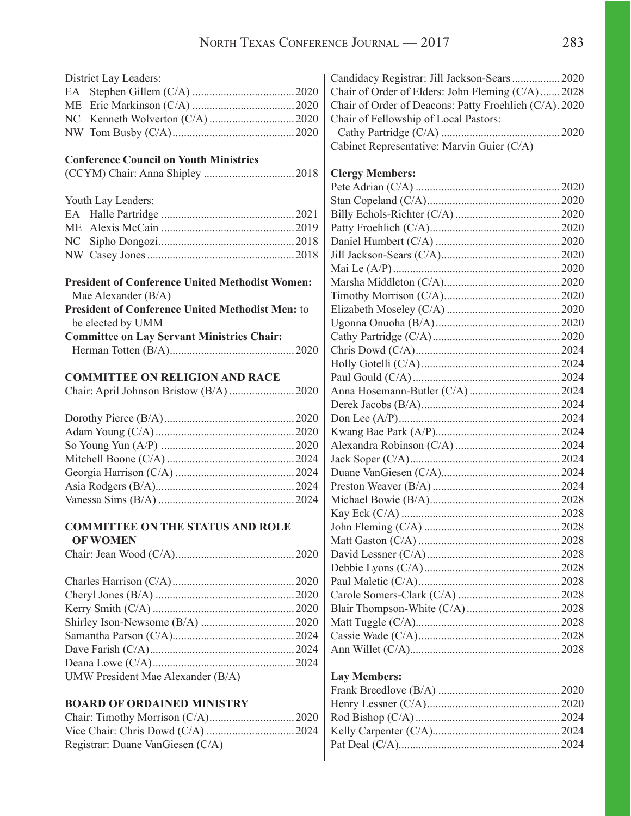|           | District Lay Leaders:                                   | Ca                          |
|-----------|---------------------------------------------------------|-----------------------------|
| EA        |                                                         | Ch                          |
| <b>ME</b> |                                                         | Ch                          |
| NC        |                                                         | Ch                          |
|           |                                                         | C                           |
|           |                                                         | Cal                         |
|           | <b>Conference Council on Youth Ministries</b>           |                             |
|           |                                                         | Cl <sub>6</sub>             |
|           |                                                         | Pet                         |
|           | Youth Lay Leaders:                                      | Sta                         |
|           |                                                         | Bil                         |
|           |                                                         | Pat                         |
| NC        |                                                         | Da                          |
|           |                                                         | Jill                        |
|           |                                                         | Ma                          |
|           | <b>President of Conference United Methodist Women:</b>  | Ma                          |
|           | Mae Alexander (B/A)                                     | Tin                         |
|           | <b>President of Conference United Methodist Men: to</b> | Eli                         |
|           | be elected by UMM                                       | Ug                          |
|           | <b>Committee on Lay Servant Ministries Chair:</b>       | Ca                          |
|           |                                                         | Ch                          |
|           |                                                         | Ho                          |
|           | <b>COMMITTEE ON RELIGION AND RACE</b>                   | Pau                         |
|           |                                                         | An                          |
|           |                                                         | De:                         |
|           |                                                         | Do                          |
|           |                                                         | Kw                          |
|           |                                                         | Al <sub>6</sub>             |
|           |                                                         | Jac                         |
|           |                                                         | Du                          |
|           |                                                         | Pre                         |
|           |                                                         | Mi                          |
|           |                                                         | Ka                          |
|           | <b>COMMITTEE ON THE STATUS AND ROLE</b>                 | Job                         |
|           | <b>OF WOMEN</b>                                         | Ma                          |
|           |                                                         | Da                          |
|           |                                                         | De                          |
|           |                                                         | Pau                         |
|           |                                                         | Ca                          |
|           |                                                         | Bla                         |
|           |                                                         | Ma                          |
|           |                                                         | Ca:                         |
|           |                                                         | An                          |
|           |                                                         |                             |
|           | UMW President Mae Alexander (B/A)                       | La                          |
|           |                                                         | $\Gamma_{\mathbf{r}\alpha}$ |

## **BOARD OF ORDAINED MINISTRY**

| Registrar: Duane VanGiesen (C/A) |  |
|----------------------------------|--|

| Candidacy Registrar: Jill Jackson-Sears  2020          |  |
|--------------------------------------------------------|--|
| Chair of Order of Elders: John Fleming (C/A)2028       |  |
| Chair of Order of Deacons: Patty Froehlich (C/A). 2020 |  |
| Chair of Fellowship of Local Pastors:                  |  |
|                                                        |  |
| Cabinet Representative: Marvin Guier (C/A)             |  |
|                                                        |  |
| <b>Clergy Members:</b>                                 |  |
|                                                        |  |
|                                                        |  |
|                                                        |  |
|                                                        |  |
|                                                        |  |
|                                                        |  |
|                                                        |  |
|                                                        |  |
|                                                        |  |
|                                                        |  |
|                                                        |  |
|                                                        |  |
|                                                        |  |
|                                                        |  |
|                                                        |  |
|                                                        |  |
|                                                        |  |
|                                                        |  |
|                                                        |  |
|                                                        |  |
|                                                        |  |
|                                                        |  |
|                                                        |  |
|                                                        |  |
|                                                        |  |
|                                                        |  |
|                                                        |  |
|                                                        |  |
|                                                        |  |
|                                                        |  |
|                                                        |  |
|                                                        |  |
|                                                        |  |
|                                                        |  |
|                                                        |  |
|                                                        |  |

## **Lay Members:**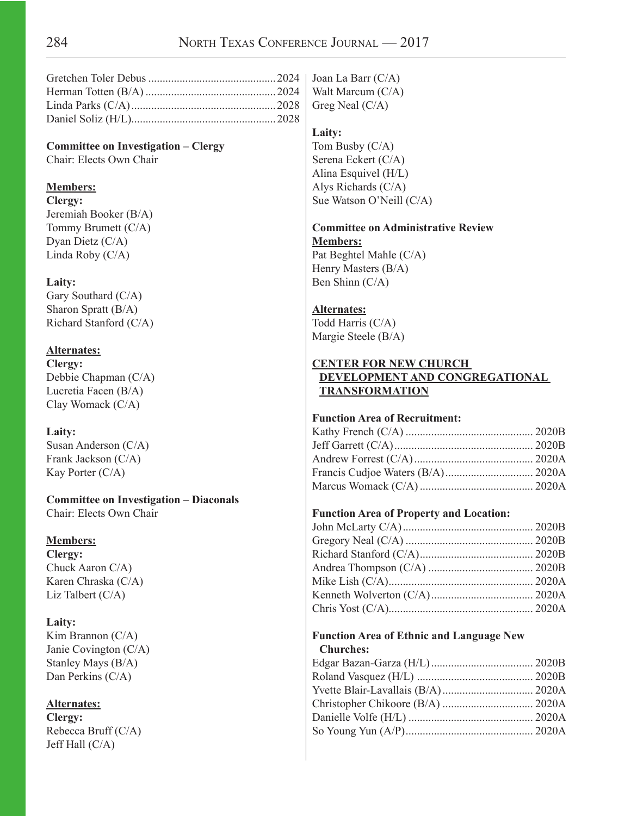**Committee on Investigation – Clergy** Chair: Elects Own Chair

## **Members:**

**Clergy:** Jeremiah Booker (B/A) Tommy Brumett (C/A) Dyan Dietz (C/A) Linda Roby (C/A)

## **Laity:**

Gary Southard (C/A) Sharon Spratt (B/A) Richard Stanford (C/A)

## **Alternates:**

**Clergy:** Debbie Chapman (C/A) Lucretia Facen (B/A) Clay Womack (C/A)

## **Laity:**

Susan Anderson (C/A) Frank Jackson (C/A) Kay Porter (C/A)

**Committee on Investigation – Diaconals** Chair: Elects Own Chair

## **Members:**

**Clergy:** Chuck Aaron C/A) Karen Chraska (C/A) Liz Talbert (C/A)

## **Laity:**

Kim Brannon (C/A) Janie Covington (C/A) Stanley Mays (B/A) Dan Perkins (C/A)

## **Alternates:**

**Clergy:** Rebecca Bruff (C/A) Jeff Hall (C/A)

Joan La Barr (C/A) Walt Marcum (C/A) Greg Neal (C/A)

#### **Laity:**

Tom Busby (C/A) Serena Eckert (C/A) Alina Esquivel (H/L) Alys Richards (C/A) Sue Watson O'Neill (C/A)

#### **Committee on Administrative Review Members:**

Pat Beghtel Mahle (C/A) Henry Masters (B/A) Ben Shinn (C/A)

## **Alternates:**

Todd Harris (C/A) Margie Steele (B/A)

## **CENTER FOR NEW CHURCH DEVELOPMENT AND CONGREGATIONAL TRANSFORMATION**

## **Function Area of Recruitment:**

## **Function Area of Property and Location:**

## **Function Area of Ethnic and Language New Churches:**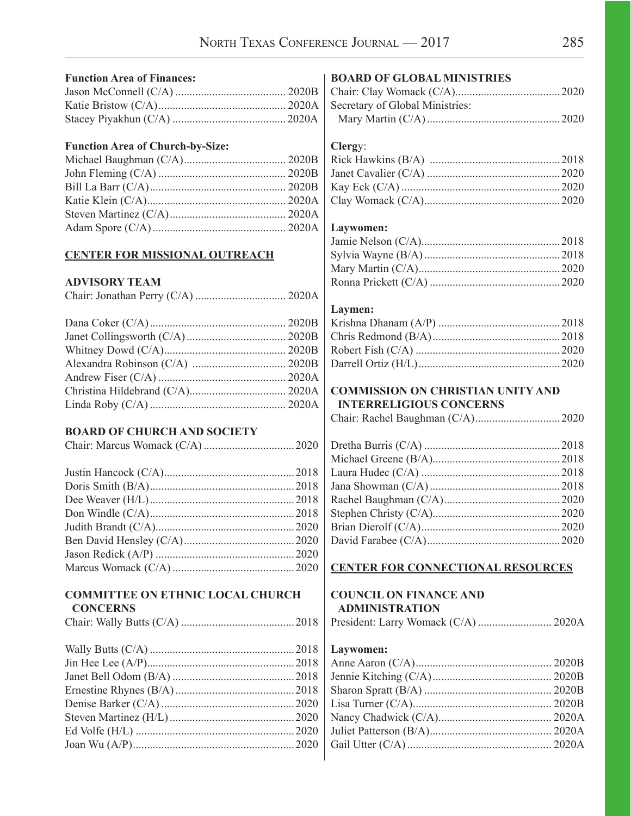| <b>Function Area of Finances:</b>       | <b>BOARD OF GLOBAL MINISTRIES</b>        |  |
|-----------------------------------------|------------------------------------------|--|
|                                         |                                          |  |
|                                         | Secretary of Global Ministries:          |  |
|                                         |                                          |  |
| <b>Function Area of Church-by-Size:</b> | Clergy:                                  |  |
|                                         |                                          |  |
|                                         |                                          |  |
|                                         |                                          |  |
|                                         |                                          |  |
|                                         |                                          |  |
|                                         | Laywomen:                                |  |
|                                         |                                          |  |
| <b>CENTER FOR MISSIONAL OUTREACH</b>    |                                          |  |
|                                         |                                          |  |
| <b>ADVISORY TEAM</b>                    |                                          |  |
|                                         |                                          |  |
|                                         | Laymen:                                  |  |
|                                         |                                          |  |
|                                         |                                          |  |
|                                         |                                          |  |
|                                         |                                          |  |
|                                         |                                          |  |
|                                         | <b>COMMISSION ON CHRISTIAN UNITY AND</b> |  |
|                                         | <b>INTERRELIGIOUS CONCERNS</b>           |  |
|                                         |                                          |  |
|                                         |                                          |  |
|                                         |                                          |  |
| <b>BOARD OF CHURCH AND SOCIETY</b>      |                                          |  |
|                                         |                                          |  |
|                                         |                                          |  |
|                                         |                                          |  |
|                                         |                                          |  |
|                                         |                                          |  |
|                                         |                                          |  |
|                                         |                                          |  |
|                                         |                                          |  |
|                                         |                                          |  |
|                                         | <b>CENTER FOR CONNECTIONAL RESOURCES</b> |  |
| <b>COMMITTEE ON ETHNIC LOCAL CHURCH</b> | <b>COUNCIL ON FINANCE AND</b>            |  |
| <b>CONCERNS</b>                         | <b>ADMINISTRATION</b>                    |  |
|                                         | President: Larry Womack (C/A)  2020A     |  |
|                                         |                                          |  |
|                                         | Laywomen:                                |  |
|                                         |                                          |  |
|                                         |                                          |  |
|                                         |                                          |  |
|                                         |                                          |  |
|                                         |                                          |  |
|                                         |                                          |  |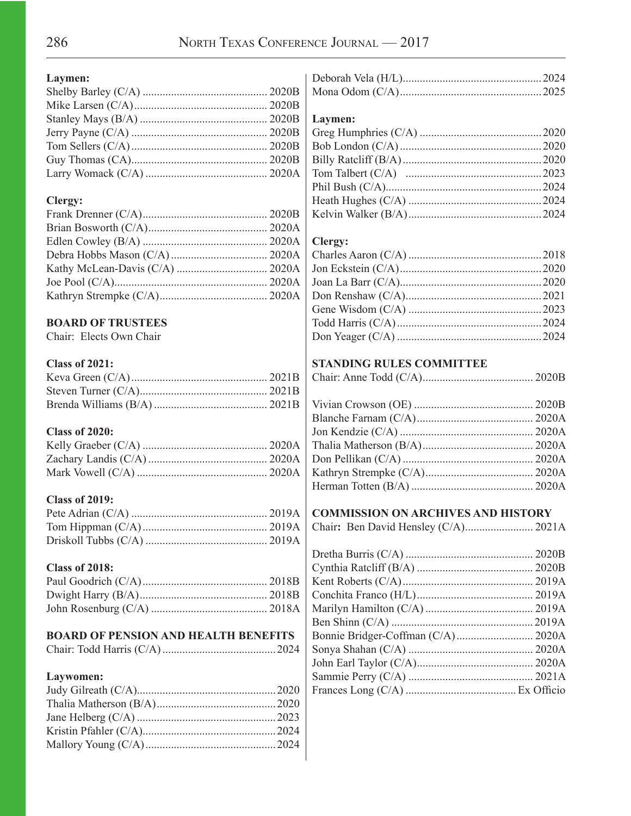## **Laymen:**

## **Clergy:**

## **BOARD OF TRUSTEES**

Chair:Elects Own Chair

## **Class of 2021:**

## **Class of 2020:**

## **Class of 2019:**

## **Class of 2018:**

## **BOARD OF PENSION AND HEALTH BENEFITS**

|--|--|--|

## **Laywomen:**

## **Laymen:**

## **Clergy:**

## **STANDING RULES COMMITTEE**

|--|--|--|

## **COMMISSION ON ARCHIVES AND HISTORY**

|--|--|